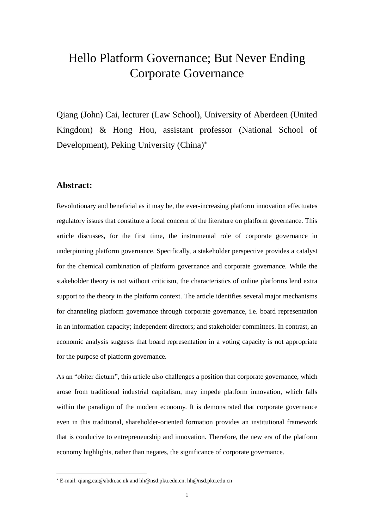# Hello Platform Governance; But Never Ending Corporate Governance

Qiang (John) Cai, lecturer (Law School), University of Aberdeen (United Kingdom) & Hong Hou, assistant professor (National School of Development), Peking University (China)

# **Abstract:**

Revolutionary and beneficial as it may be, the ever-increasing platform innovation effectuates regulatory issues that constitute a focal concern of the literature on platform governance. This article discusses, for the first time, the instrumental role of corporate governance in underpinning platform governance. Specifically, a stakeholder perspective provides a catalyst for the chemical combination of platform governance and corporate governance. While the stakeholder theory is not without criticism, the characteristics of online platforms lend extra support to the theory in the platform context. The article identifies several major mechanisms for channeling platform governance through corporate governance, i.e. board representation in an information capacity; independent directors; and stakeholder committees. In contrast, an economic analysis suggests that board representation in a voting capacity is not appropriate for the purpose of platform governance.

As an "obiter dictum", this article also challenges a position that corporate governance, which arose from traditional industrial capitalism, may impede platform innovation, which falls within the paradigm of the modern economy. It is demonstrated that corporate governance even in this traditional, shareholder-oriented formation provides an institutional framework that is conducive to entrepreneurship and innovation. Therefore, the new era of the platform economy highlights, rather than negates, the significance of corporate governance.

E-mail: qiang.cai@abdn.ac.uk and hh@nsd.pku.edu.cn. hh@nsd.pku.edu.cn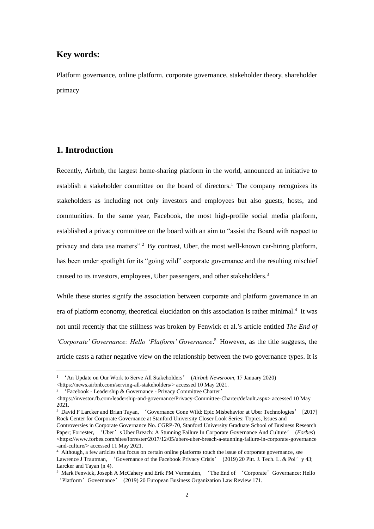# **Key words:**

Platform governance, online platform, corporate governance, stakeholder theory, shareholder primacy

# **1. Introduction**

Recently, Airbnb, the largest home-sharing platform in the world, announced an initiative to establish a stakeholder committee on the board of directors.<sup>1</sup> The company recognizes its stakeholders as including not only investors and employees but also guests, hosts, and communities. In the same year, Facebook, the most high-profile social media platform, established a privacy committee on the board with an aim to "assist the Board with respect to privacy and data use matters".<sup>2</sup> By contrast, Uber, the most well-known car-hiring platform, has been under spotlight for its "going wild" corporate governance and the resulting mischief caused to its investors, employees, Uber passengers, and other stakeholders.<sup>3</sup>

While these stories signify the association between corporate and platform governance in an era of platform economy, theoretical elucidation on this association is rather minimal.<sup>4</sup> It was not until recently that the stillness was broken by Fenwick et al.'s article entitled *The End of 'Corporate' Governance: Hello 'Platform' Governance*. <sup>5</sup> However, as the title suggests, the article casts a rather negative view on the relationship between the two governance types. It is

<sup>1</sup> 'An Update on Our Work to Serve All Stakeholders' (*Airbnb Newsroom*, 17 January 2020) <https://news.airbnb.com/serving-all-stakeholders/> accessed 10 May 2021.

<sup>2</sup> 'Facebook - Leadership & Governance - Privacy Committee Charter'

<sup>&</sup>lt;https://investor.fb.com/leadership-and-governance/Privacy-Committee-Charter/default.aspx> accessed 10 May 2021.

<sup>&</sup>lt;sup>3</sup> David F Larcker and Brian Tayan, 'Governance Gone Wild: Epic Misbehavior at Uber Technologies' [2017] Rock Center for Corporate Governance at Stanford University Closer Look Series: Topics, Issues and

Controversies in Corporate Governance No. CGRP-70, Stanford University Graduate School of Business Research Paper; Forrester, 'Uber's Uber Breach: A Stunning Failure In Corporate Governance And Culture' (*Forbes*)  $\langle$ https://www.forbes.com/sites/forrester/2017/12/05/ubers-uber-breach-a-stunning-failure-in-corporate-governance -and-culture/> accessed 11 May 2021.

<sup>4</sup> Although, a few articles that focus on certain online platforms touch the issue of corporate governance, see Lawrence J Trautman, 'Governance of the Facebook Privacy Crisis' (2019) 20 Pitt. J. Tech. L. & Pol'y 43; Larcker and Tayan (n 4).

<sup>&</sup>lt;sup>5</sup> Mark Fenwick, Joseph A McCahery and Erik PM Vermeulen, 'The End of 'Corporate' Governance: Hello 'Platform'Governance' (2019) 20 European Business Organization Law Review 171.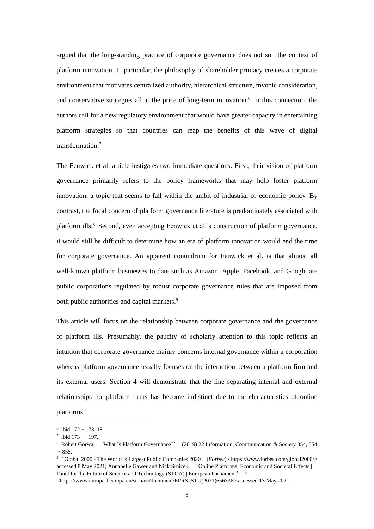argued that the long-standing practice of corporate governance does not suit the context of platform innovation. In particular, the philosophy of shareholder primacy creates a corporate environment that motivates centralized authority, hierarchical structure, myopic consideration, and conservative strategies all at the price of long-term innovation. 6 In this connection, the authors call for a new regulatory environment that would have greater capacity in entertaining platform strategies so that countries can reap the benefits of this wave of digital transformation.<sup>7</sup>

The Fenwick et al. article instigates two immediate questions. First, their vision of platform governance primarily refers to the policy frameworks that may help foster platform innovation, a topic that seems to fall within the ambit of industrial or economic policy. By contrast, the focal concern of platform governance literature is predominately associated with platform ills.<sup>8</sup> Second, even accepting Fenwick et al.'s construction of platform governance, it would still be difficult to determine how an era of platform innovation would end the time for corporate governance. An apparent conundrum for Fenwick et al. is that almost all well-known platform businesses to date such as Amazon, Apple, Facebook, and Google are public corporations regulated by robust corporate governance rules that are imposed from both public authorities and capital markets.<sup>9</sup>

This article will focus on the relationship between corporate governance and the governance of platform ills. Presumably, the paucity of scholarly attention to this topic reflects an intuition that corporate governance mainly concerns internal governance within a corporation whereas platform governance usually focuses on the interaction between a platform firm and its external users. Section 4 will demonstrate that the line separating internal and external relationships for platform firms has become indistinct due to the characteristics of online platforms.

<sup>6</sup> ibid 172–173, 181.

<sup>7</sup> ibid 173, 197.

<sup>8</sup> Robert Gorwa, 'What Is Platform Governance?' (2019) 22 Information, Communication & Society 854, 854 –855.

<sup>&</sup>lt;sup>9</sup> 'Global 2000 - The World's Largest Public Companies 2020' (*Forbes*) <https://www.forbes.com/global2000/> accessed 8 May 2021; Annabelle Gawer and Nick Srnicek, 'Online Platforms: Economic and Societal Effects | Panel for the Future of Science and Technology (STOA) | European Parliament' 1

<sup>&</sup>lt;https://www.europarl.europa.eu/stoa/en/document/EPRS\_STU(2021)656336> accessed 13 May 2021.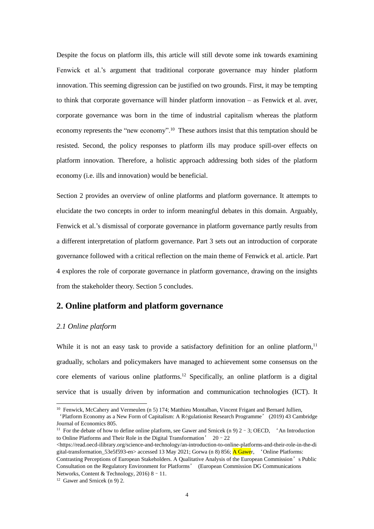Despite the focus on platform ills, this article will still devote some ink towards examining Fenwick et al.'s argument that traditional corporate governance may hinder platform innovation. This seeming digression can be justified on two grounds. First, it may be tempting to think that corporate governance will hinder platform innovation – as Fenwick et al. aver, corporate governance was born in the time of industrial capitalism whereas the platform economy represents the "new economy".<sup>10</sup> These authors insist that this temptation should be resisted. Second, the policy responses to platform ills may produce spill-over effects on platform innovation. Therefore, a holistic approach addressing both sides of the platform economy (i.e. ills and innovation) would be beneficial.

Section 2 provides an overview of online platforms and platform governance. It attempts to elucidate the two concepts in order to inform meaningful debates in this domain. Arguably, Fenwick et al.'s dismissal of corporate governance in platform governance partly results from a different interpretation of platform governance. Part 3 sets out an introduction of corporate governance followed with a critical reflection on the main theme of Fenwick et al. article. Part 4 explores the role of corporate governance in platform governance, drawing on the insights from the stakeholder theory. Section 5 concludes.

# **2. Online platform and platform governance**

### *2.1 Online platform*

While it is not an easy task to provide a satisfactory definition for an online platform,<sup>11</sup> gradually, scholars and policymakers have managed to achievement some consensus on the core elements of various online platforms.<sup>12</sup> Specifically, an online platform is a digital service that is usually driven by information and communication technologies (ICT). It

<sup>11</sup> For the debate of how to define online platform, see Gawer and Srnicek (n 9)  $2 - 3$ ; OECD, <sup>4</sup>An Introduction to Online Platforms and Their Role in the Digital Transformation' 20–22

 $\langle$ https://read.oecd-ilibrary.org/science-and-technology/an-introduction-to-online-platforms-and-their-role-in-the-di gital-transformation  $53e5f593-$ en> accessed 13 May 2021; Gorwa (n 8) 856; A Gawer, 'Online Platforms: Contrasting Perceptions of European Stakeholders. A Qualitative Analysis of the European Commission's Public Consultation on the Regulatory Environment for Platforms' (European Commission DG Communications Networks, Content & Technology, 2016) 8 - 11.

<sup>&</sup>lt;sup>10</sup> Fenwick, McCahery and Vermeulen (n 5) 174; Matthieu Montalban, Vincent Frigant and Bernard Jullien.

<sup>&#</sup>x27;Platform Economy as a New Form of Capitalism: A Régulationist Research Programme' (2019) 43 Cambridge Journal of Economics 805.

<sup>&</sup>lt;sup>12</sup> Gawer and Srnicek (n 9) 2.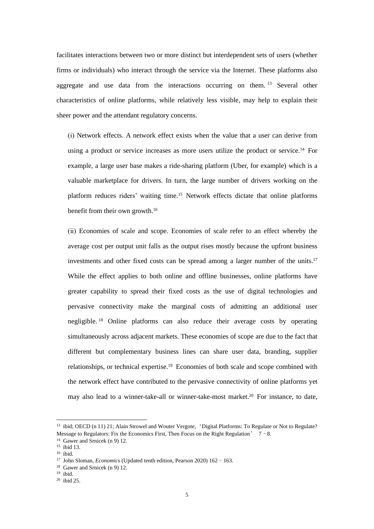facilitates interactions between two or more distinct but interdependent sets of users (whether firms or individuals) who interact through the service via the Internet. These platforms also aggregate and use data from the interactions occurring on them.<sup>13</sup> Several other characteristics of online platforms, while relatively less visible, may help to explain their sheer power and the attendant regulatory concerns.

(ⅰ) Network effects. A network effect exists when the value that a user can derive from using a product or service increases as more users utilize the product or service.<sup>14</sup> For example, a large user base makes a ride-sharing platform (Uber, for example) which is a valuable marketplace for drivers. In turn, the large number of drivers working on the platform reduces riders' waiting time.<sup>15</sup> Network effects dictate that online platforms benefit from their own growth.<sup>16</sup>

(ⅱ) Economies of scale and scope. Economies of scale refer to an effect whereby the average cost per output unit falls as the output rises mostly because the upfront business investments and other fixed costs can be spread among a larger number of the units.<sup>17</sup> While the effect applies to both online and offline businesses, online platforms have greater capability to spread their fixed costs as the use of digital technologies and pervasive connectivity make the marginal costs of admitting an additional user negligible. <sup>18</sup> Online platforms can also reduce their average costs by operating simultaneously across adjacent markets. These economies of scope are due to the fact that different but complementary business lines can share user data, branding, supplier relationships, or technical expertise.<sup>19</sup> Economies of both scale and scope combined with the network effect have contributed to the pervasive connectivity of online platforms yet may also lead to a winner-take-all or winner-take-most market.<sup>20</sup> For instance, to date,

<sup>&</sup>lt;sup>13</sup> ibid; OECD (n 11) 21; Alain Strowel and Wouter Vergote, 'Digital Platforms: To Regulate or Not to Regulate? Message to Regulators: Fix the Economics First, Then Focus on the Right Regulation'  $7 - 8$ .

<sup>&</sup>lt;sup>14</sup> Gawer and Srnicek (n 9) 12.

<sup>15</sup> ibid 13.

 $16$  ibid.

<sup>&</sup>lt;sup>17</sup> John Sloman, *Economics* (Updated tenth edition, Pearson 2020) 162 - 163.

<sup>18</sup> Gawer and Srnicek (n 9) 12.

 $19$  ibid.

<sup>20</sup> ibid 25.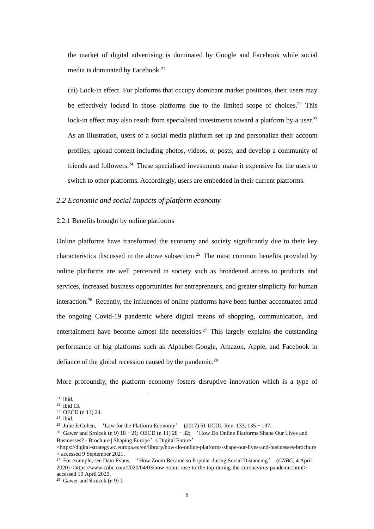the market of digital advertising is dominated by Google and Facebook while social media is dominated by Facebook.<sup>21</sup>

(ⅲ) Lock-in effect. For platforms that occupy dominant market positions, their users may be effectively locked in those platforms due to the limited scope of choices.<sup>22</sup> This lock-in effect may also result from specialised investments toward a platform by a user.<sup>23</sup> As an illustration, users of a social media platform set up and personalize their account profiles; upload content including photos, videos, or posts; and develop a community of friends and followers.<sup>24</sup> These specialised investments make it expensive for the users to switch to other platforms. Accordingly, users are embedded in their current platforms.

## *2.2 Economic and social impacts of platform economy*

#### 2.2.1 Benefits brought by online platforms

Online platforms have transformed the economy and society significantly due to their key characteristics discussed in the above subsection. <sup>25</sup> The most common benefits provided by online platforms are well perceived in society such as broadened access to products and services, increased business opportunities for entrepreneurs, and greater simplicity for human interaction.<sup>26</sup> Recently, the influences of online platforms have been further accentuated amid the ongoing Covid-19 pandemic where digital means of shopping, communication, and entertainment have become almost life necessities.<sup>27</sup> This largely explains the outstanding performance of big platforms such as Alphabet-Google, Amazon, Apple, and Facebook in defiance of the global recession caused by the pandemic.<sup>28</sup>

More profoundly, the platform economy fosters disruptive innovation which is a type of

 $21$  ibid.

 $22$  ibid 13.

<sup>23</sup> OECD (n 11) 24.

 $24$  ibid.

<sup>&</sup>lt;sup>25</sup> Julie E Cohen, 'Law for the Platform Economy' (2017) 51 UCDL Rev. 133, 135 - 137.

<sup>&</sup>lt;sup>26</sup> Gawer and Srnicek (n 9) 18 - 21; OECD (n 11)  $28 - 32$ ; 'How Do Online Platforms Shape Our Lives and Businesses? - Brochure | Shaping Europe's Digital Future'

 $\langle$ https://digital-strategy.ec.europa.eu/en/library/how-do-online-platforms-shape-our-lives-and-businesses-brochure > accessed 9 September 2021.

<sup>27</sup> For example, see Dain Evans, 'How Zoom Became so Popular during Social Distancing' (*CNBC*, 4 April 2020) <https://www.cnbc.com/2020/04/03/how-zoom-rose-to-the-top-during-the-coronavirus-pandemic.html> accessed 19 April 2020.

<sup>28</sup> Gawer and Srnicek (n 9) Ⅰ.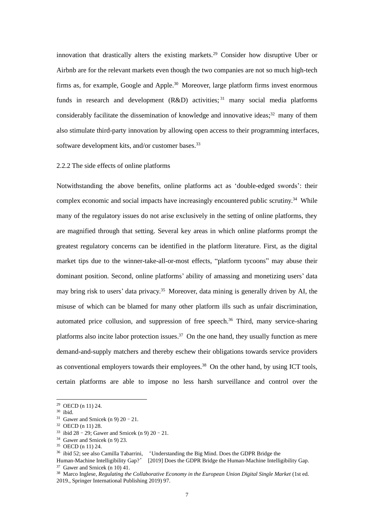innovation that drastically alters the existing markets.<sup>29</sup> Consider how disruptive Uber or Airbnb are for the relevant markets even though the two companies are not so much high-tech firms as, for example, Google and Apple.<sup>30</sup> Moreover, large platform firms invest enormous funds in research and development (R&D) activities;<sup>31</sup> many social media platforms considerably facilitate the dissemination of knowledge and innovative ideas;<sup>32</sup> many of them also stimulate third-party innovation by allowing open access to their programming interfaces, software development kits, and/or customer bases.<sup>33</sup>

#### 2.2.2 The side effects of online platforms

Notwithstanding the above benefits, online platforms act as 'double-edged swords': their complex economic and social impacts have increasingly encountered public scrutiny.<sup>34</sup> While many of the regulatory issues do not arise exclusively in the setting of online platforms, they are magnified through that setting. Several key areas in which online platforms prompt the greatest regulatory concerns can be identified in the platform literature. First, as the digital market tips due to the winner-take-all-or-most effects, "platform tycoons" may abuse their dominant position. Second, online platforms' ability of amassing and monetizing users' data may bring risk to users' data privacy.<sup>35</sup> Moreover, data mining is generally driven by AI, the misuse of which can be blamed for many other platform ills such as unfair discrimination, automated price collusion, and suppression of free speech. <sup>36</sup> Third, many service-sharing platforms also incite labor protection issues. <sup>37</sup> On the one hand, they usually function as mere demand-and-supply matchers and thereby eschew their obligations towards service providers as conventional employers towards their employees.<sup>38</sup> On the other hand, by using ICT tools, certain platforms are able to impose no less harsh surveillance and control over the

<sup>29</sup> OECD (n 11) 24.

<sup>30</sup> ibid.

<sup>&</sup>lt;sup>31</sup> Gawer and Srnicek (n 9) 20 - 21.

<sup>32</sup> OECD (n 11) 28.

<sup>&</sup>lt;sup>33</sup> ibid 28 – 29; Gawer and Srnicek (n 9) 20 – 21.

<sup>34</sup> Gawer and Srnicek (n 9) 23.

<sup>35</sup> OECD (n 11) 24.

<sup>&</sup>lt;sup>36</sup> ibid 52; see also Camilla Tabarrini, 'Understanding the Big Mind. Does the GDPR Bridge the

Human-Machine Intelligibility Gap?' [2019] Does the GDPR Bridge the Human-Machine Intelligibility Gap. <sup>37</sup> Gawer and Srnicek (n 10) 41.

<sup>38</sup> Marco Inglese, *Regulating the Collaborative Economy in the European Union Digital Single Market* (1st ed. 2019., Springer International Publishing 2019) 97.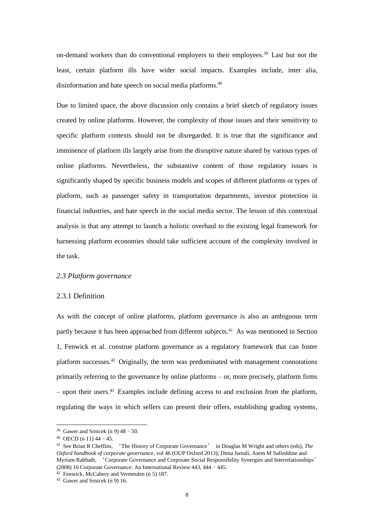on-demand workers than do conventional employers to their employees. <sup>39</sup> Last but not the least, certain platform ills have wider social impacts. Examples include, inter alia, disinformation and hate speech on social media platforms. 40

Due to limited space, the above discussion only contains a brief sketch of regulatory issues created by online platforms. However, the complexity of those issues and their sensitivity to specific platform contexts should not be disregarded. It is true that the significance and imminence of platform ills largely arise from the disruptive nature shared by various types of online platforms. Nevertheless, the substantive content of those regulatory issues is significantly shaped by specific business models and scopes of different platforms or types of platform, such as passenger safety in transportation departments, investor protection in financial industries, and hate speech in the social media sector. The lesson of this contextual analysis is that any attempt to launch a holistic overhaul to the existing legal framework for harnessing platform economies should take sufficient account of the complexity involved in the task.

#### *2.3 Platform governance*

#### 2.3.1 Definition

As with the concept of online platforms, platform governance is also an ambiguous term partly because it has been approached from different subjects.<sup>41</sup> As was mentioned in Section 1, Fenwick et al. construe platform governance as a regulatory framework that can foster platform successes. <sup>42</sup> Originally, the term was predominated with management connotations primarily referring to the governance by online platforms – or, more precisely, platform firms – upon their users. <sup>43</sup> Examples include defining access to and exclusion from the platform, regulating the ways in which sellers can present their offers, establishing grading systems,

<sup>&</sup>lt;sup>39</sup> Gawer and Srnicek (n 9)  $48 - 50$ .

 $40$  OECD (n 11)  $44 - 45$ .

<sup>41</sup> See Brian R Cheffins, 'The History of Corporate Governance' in Douglas M Wright and others (eds), *The Oxford handbook of corporate governance*, vol 46 (OUP Oxford 2013); Dima Jamali, Asem M Safieddine and Myriam Rabbath, 'Corporate Governance and Corporate Social Responsibility Synergies and Interrelationships' (2008) 16 Corporate Governance: An International Review 443, 444–445.

<sup>42</sup> Fenwick, McCahery and Vermeulen (n 5) 187.

<sup>43</sup> Gawer and Srnicek (n 9) 16.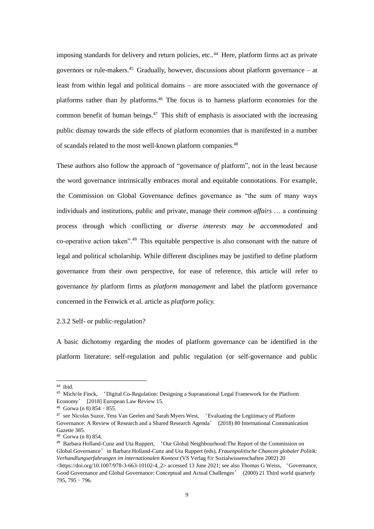imposing standards for delivery and return policies, etc.. <sup>44</sup> Here, platform firms act as private governors or rule-makers.<sup>45</sup> Gradually, however, discussions about platform governance – at least from within legal and political domains – are more associated with the governance *of*  platforms rather than *by* platforms. <sup>46</sup> The focus is to harness platform economies for the common benefit of human beings. <sup>47</sup> This shift of emphasis is associated with the increasing public dismay towards the side effects of platform economies that is manifested in a number of scandals related to the most well-known platform companies.<sup>48</sup>

These authors also follow the approach of "governance *of* platform", not in the least because the word governance intrinsically embraces moral and equitable connotations. For example, the Commission on Global Governance defines governance as "the sum of many ways individuals and institutions, public and private, manage their *common affairs* … a continuing process through which conflicting or *diverse interests may be accommodated* and co-operative action taken".<sup>49</sup> This equitable perspective is also consonant with the nature of legal and political scholarship. While different disciplines may be justified to define platform governance from their own perspective, for ease of reference, this article will refer to governance *by* platform firms as *platform management* and label the platform governance concerned in the Fenwick et al. article as *platform policy.*

### 2.3.2 Self- or public-regulation?

A basic dichotomy regarding the modes of platform governance can be identified in the platform literature: self-regulation and public regulation (or self-governance and public

<sup>44</sup> ibid.

<sup>45</sup> Michèle Finck, 'Digital Co-Regulation: Designing a Supranational Legal Framework for the Platform Economy' [2018] European Law Review 15.

 $46$  Gorwa (n 8) 854 - 855.

<sup>&</sup>lt;sup>47</sup> see Nicolas Suzor, Tess Van Geelen and Sarah Myers West, 'Evaluating the Legitimacy of Platform Governance: A Review of Research and a Shared Research Agenda' (2018) 80 International Communication Gazette 385.

<sup>48</sup> Gorwa (n 8) 854.

<sup>49</sup> Barbara Holland-Cunz and Uta Ruppert, 'Our Global Neighbourhood:The Report of the Commission on Global Governance'in Barbara Holland-Cunz and Uta Ruppert (eds), *Frauenpolitische Chancen globaler Politik: Verhandlungserfahrungen im internationalen Kontext* (VS Verlag für Sozialwissenschaften 2002) 20  $\lt$ https://doi.org/10.1007/978-3-663-10102-4\_2> accessed 13 June 2021; see also Thomas G Weiss, 'Governance, Good Governance and Global Governance: Conceptual and Actual Challenges' (2000) 21 Third world quarterly 795, 795–796.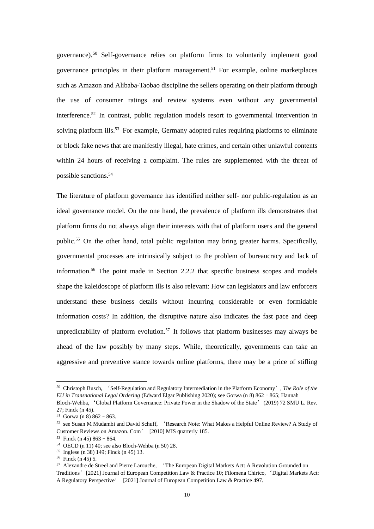governance). <sup>50</sup> Self-governance relies on platform firms to voluntarily implement good governance principles in their platform management. <sup>51</sup> For example, online marketplaces such as Amazon and Alibaba-Taobao discipline the sellers operating on their platform through the use of consumer ratings and review systems even without any governmental interference. <sup>52</sup> In contrast, public regulation models resort to governmental intervention in solving platform ills.<sup>53</sup> For example, Germany adopted rules requiring platforms to eliminate or block fake news that are manifestly illegal, hate crimes, and certain other unlawful contents within 24 hours of receiving a complaint. The rules are supplemented with the threat of possible sanctions.<sup>54</sup>

The literature of platform governance has identified neither self- nor public-regulation as an ideal governance model. On the one hand, the prevalence of platform ills demonstrates that platform firms do not always align their interests with that of platform users and the general public.<sup>55</sup> On the other hand, total public regulation may bring greater harms. Specifically, governmental processes are intrinsically subject to the problem of bureaucracy and lack of information.<sup>56</sup> The point made in Section 2.2.2 that specific business scopes and models shape the kaleidoscope of platform ills is also relevant: How can legislators and law enforcers understand these business details without incurring considerable or even formidable information costs? In addition, the disruptive nature also indicates the fast pace and deep unpredictability of platform evolution. <sup>57</sup> It follows that platform businesses may always be ahead of the law possibly by many steps. While, theoretically, governments can take an aggressive and preventive stance towards online platforms, there may be a price of stifling

<sup>50</sup> Christoph Busch, 'Self-Regulation and Regulatory Intermediation in the Platform Economy', *The Role of the EU in Transnational Legal Ordering* (Edward Elgar Publishing 2020); see Gorwa (n 8) 862–865; Hannah

Bloch-Wehba, 'Global Platform Governance: Private Power in the Shadow of the State'(2019) 72 SMU L. Rev. 27; Finck (n 45).

 $51$  Gorwa (n 8) 862 - 863.

<sup>52</sup> see Susan M Mudambi and David Schuff, 'Research Note: What Makes a Helpful Online Review? A Study of Customer Reviews on Amazon. Com' [2010] MIS quarterly 185.

 $53$  Finck (n 45) 863 - 864.

<sup>54</sup> OECD (n 11) 40; see also Bloch-Wehba (n 50) 28.

<sup>55</sup> Inglese (n 38) 149; Finck (n 45) 13.

<sup>56</sup> Finck (n 45) 5.

<sup>57</sup> Alexandre de Streel and Pierre Larouche, 'The European Digital Markets Act: A Revolution Grounded on Traditions'[2021] Journal of European Competition Law & Practice 10; Filomena Chirico, 'Digital Markets Act: A Regulatory Perspective' [2021] Journal of European Competition Law & Practice 497.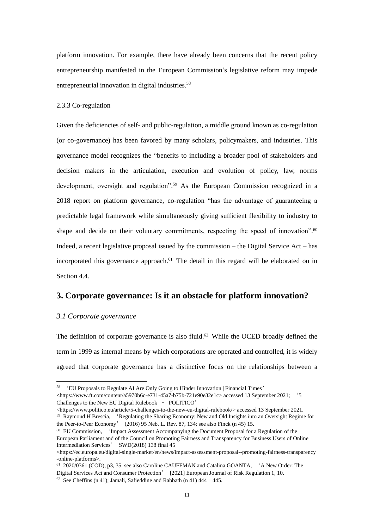platform innovation. For example, there have already been concerns that the recent policy entrepreneurship manifested in the European Commission's legislative reform may impede entrepreneurial innovation in digital industries. 58

#### 2.3.3 Co-regulation

Given the deficiencies of self- and public-regulation, a middle ground known as co-regulation (or co-governance) has been favored by many scholars, policymakers, and industries. This governance model recognizes the "benefits to including a broader pool of stakeholders and decision makers in the articulation, execution and evolution of policy, law, norms development, oversight and regulation". <sup>59</sup> As the European Commission recognized in a 2018 report on platform governance, co-regulation "has the advantage of guaranteeing a predictable legal framework while simultaneously giving sufficient flexibility to industry to shape and decide on their voluntary commitments, respecting the speed of innovation".<sup>60</sup> Indeed, a recent legislative proposal issued by the commission – the Digital Service Act – has incorporated this governance approach.<sup>61</sup> The detail in this regard will be elaborated on in Section 4.4.

# **3. Corporate governance: Is it an obstacle for platform innovation?**

#### *3.1 Corporate governance*

The definition of corporate governance is also fluid.<sup>62</sup> While the OCED broadly defined the term in 1999 as internal means by which corporations are operated and controlled, it is widely agreed that corporate governance has a distinctive focus on the relationships between a

Challenges to the New EU Digital Rulebook – POLITICO'

 $\langle$ https://www.politico.eu/article/5-challenges-to-the-new-eu-digital-rulebook/> accessed 13 September 2021. <sup>59</sup> Raymond H Brescia, 'Regulating the Sharing Economy: New and Old Insights into an Oversight Regime for the Peer-to-Peer Economy' (2016) 95 Neb. L. Rev. 87, 134; see also Finck (n 45) 15.

<sup>58</sup> 'EU Proposals to Regulate AI Are Only Going to Hinder Innovation | Financial Times' <https://www.ft.com/content/a5970b6c-e731-45a7-b75b-721e90e32e1c> accessed 13 September 2021; '5

<sup>60</sup> EU Commission, 'Impact Assessment Accompanying the Document Proposal for a Regulation of the European Parliament and of the Council on Promoting Fairness and Transparency for Business Users of Online Intermediation Services' SWD(2018) 138 final 45

<sup>&</sup>lt;https://ec.europa.eu/digital-single-market/en/news/impact-assessment-proposal--promoting-fairness-transparency -online-platforms>.

<sup>61</sup> 2020/0361 (COD), p3, 35. see also Caroline CAUFFMAN and Catalina GOANTA, 'A New Order: The Digital Services Act and Consumer Protection' [2021] European Journal of Risk Regulation 1, 10. <sup>62</sup> See Cheffins (n 41); Jamali, Safieddine and Rabbath (n 41) 444 - 445.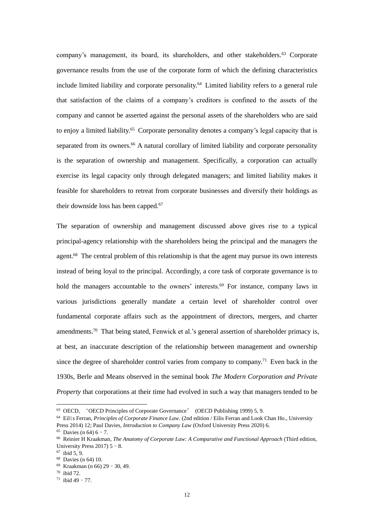company's management, its board, its shareholders, and other stakeholders.<sup>63</sup> Corporate governance results from the use of the corporate form of which the defining characteristics include limited liability and corporate personality.<sup>64</sup> Limited liability refers to a general rule that satisfaction of the claims of a company's creditors is confined to the assets of the company and cannot be asserted against the personal assets of the shareholders who are said to enjoy a limited liability.<sup>65</sup> Corporate personality denotes a company's legal capacity that is separated from its owners.<sup>66</sup> A natural corollary of limited liability and corporate personality is the separation of ownership and management. Specifically, a corporation can actually exercise its legal capacity only through delegated managers; and limited liability makes it feasible for shareholders to retreat from corporate businesses and diversify their holdings as their downside loss has been capped.<sup>67</sup>

The separation of ownership and management discussed above gives rise to a typical principal-agency relationship with the shareholders being the principal and the managers the agent.<sup>68</sup> The central problem of this relationship is that the agent may pursue its own interests instead of being loyal to the principal. Accordingly, a core task of corporate governance is to hold the managers accountable to the owners' interests.<sup>69</sup> For instance, company laws in various jurisdictions generally mandate a certain level of shareholder control over fundamental corporate affairs such as the appointment of directors, mergers, and charter amendments.<sup>70</sup> That being stated, Fenwick et al.'s general assertion of shareholder primacy is, at best, an inaccurate description of the relationship between management and ownership since the degree of shareholder control varies from company to company. <sup>71</sup> Even back in the 1930s, Berle and Means observed in the seminal book *The Modern Corporation and Private Property* that corporations at their time had evolved in such a way that managers tended to be

<sup>63</sup> OECD, 'OECD Principles of Corporate Governance' (OECD Publishing 1999) 5, 9.

<sup>64</sup> Eilís Ferran, *Principles of Corporate Finance Law.* (2nd edition / Eilis Ferran and Look Chan Ho., University Press 2014) 12; Paul Davies, *Introduction to Company Law* (Oxford University Press 2020) 6.

 $65$  Davies (n 64) 6 – 7.

<sup>66</sup> Reinier H Kraakman, *The Anatomy of Corporate Law: A Comparative and Functional Approach* (Third edition, University Press 2017)  $5 - 8$ .

<sup>67</sup> ibid 5, 9.

<sup>68</sup> Davies (n 64) 10.

<sup>69</sup> Kraakman (n 66) 29–30, 49.

<sup>70</sup> ibid 72.

 $71$  ibid 49 - 77.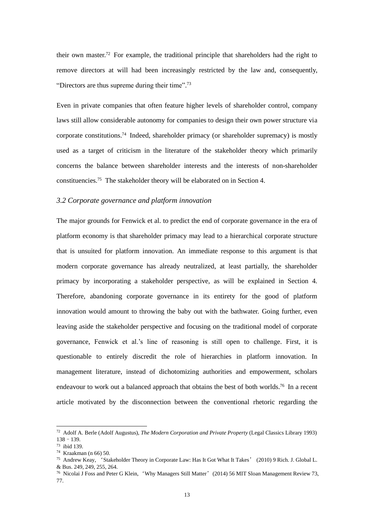their own master. <sup>72</sup> For example, the traditional principle that shareholders had the right to remove directors at will had been increasingly restricted by the law and, consequently, "Directors are thus supreme during their time".<sup>73</sup>

Even in private companies that often feature higher levels of shareholder control, company laws still allow considerable autonomy for companies to design their own power structure via corporate constitutions. <sup>74</sup> Indeed, shareholder primacy (or shareholder supremacy) is mostly used as a target of criticism in the literature of the stakeholder theory which primarily concerns the balance between shareholder interests and the interests of non-shareholder constituencies.<sup>75</sup> The stakeholder theory will be elaborated on in Section 4.

## *3.2 Corporate governance and platform innovation*

The major grounds for Fenwick et al. to predict the end of corporate governance in the era of platform economy is that shareholder primacy may lead to a hierarchical corporate structure that is unsuited for platform innovation. An immediate response to this argument is that modern corporate governance has already neutralized, at least partially, the shareholder primacy by incorporating a stakeholder perspective, as will be explained in Section 4. Therefore, abandoning corporate governance in its entirety for the good of platform innovation would amount to throwing the baby out with the bathwater. Going further, even leaving aside the stakeholder perspective and focusing on the traditional model of corporate governance, Fenwick et al.'s line of reasoning is still open to challenge. First, it is questionable to entirely discredit the role of hierarchies in platform innovation. In management literature, instead of dichotomizing authorities and empowerment, scholars endeavour to work out a balanced approach that obtains the best of both worlds.<sup>76</sup> In a recent article motivated by the disconnection between the conventional rhetoric regarding the

<sup>72</sup> Adolf A. Berle (Adolf Augustus), *The Modern Corporation and Private Property* (Legal Classics Library 1993) 138–139.

<sup>73</sup> ibid 139.

<sup>74</sup> Kraakman (n 66) 50.

<sup>75</sup> Andrew Keay, 'Stakeholder Theory in Corporate Law: Has It Got What It Takes' (2010) 9 Rich. J. Global L. & Bus. 249, 249, 255, 264.

<sup>&</sup>lt;sup>76</sup> Nicolai J Foss and Peter G Klein, 'Why Managers Still Matter' (2014) 56 MIT Sloan Management Review 73, 77.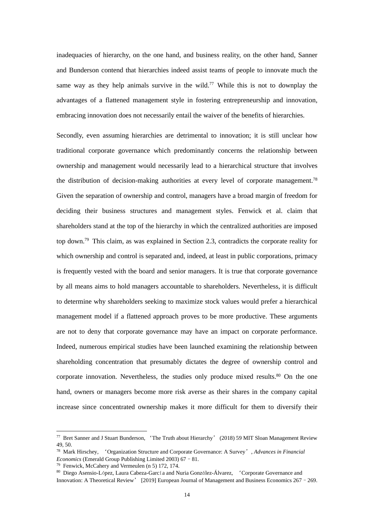inadequacies of hierarchy, on the one hand, and business reality, on the other hand, Sanner and Bunderson contend that hierarchies indeed assist teams of people to innovate much the same way as they help animals survive in the wild.<sup>77</sup> While this is not to downplay the advantages of a flattened management style in fostering entrepreneurship and innovation, embracing innovation does not necessarily entail the waiver of the benefits of hierarchies.

Secondly, even assuming hierarchies are detrimental to innovation; it is still unclear how traditional corporate governance which predominantly concerns the relationship between ownership and management would necessarily lead to a hierarchical structure that involves the distribution of decision-making authorities at every level of corporate management.<sup>78</sup> Given the separation of ownership and control, managers have a broad margin of freedom for deciding their business structures and management styles. Fenwick et al. claim that shareholders stand at the top of the hierarchy in which the centralized authorities are imposed top down.<sup>79</sup> This claim, as was explained in Section 2.3, contradicts the corporate reality for which ownership and control is separated and, indeed, at least in public corporations, primacy is frequently vested with the board and senior managers. It is true that corporate governance by all means aims to hold managers accountable to shareholders. Nevertheless, it is difficult to determine why shareholders seeking to maximize stock values would prefer a hierarchical management model if a flattened approach proves to be more productive. These arguments are not to deny that corporate governance may have an impact on corporate performance. Indeed, numerous empirical studies have been launched examining the relationship between shareholding concentration that presumably dictates the degree of ownership control and corporate innovation. Nevertheless, the studies only produce mixed results.<sup>80</sup> On the one hand, owners or managers become more risk averse as their shares in the company capital increase since concentrated ownership makes it more difficult for them to diversify their

<sup>77</sup> Bret Sanner and J Stuart Bunderson, 'The Truth about Hierarchy' (2018) 59 MIT Sloan Management Review 49, 50.

<sup>78</sup> Mark Hirschey, 'Organization Structure and Corporate Governance: A Survey', *Advances in Financial Economics* (Emerald Group Publishing Limited 2003) 67–81.

<sup>79</sup> Fenwick, McCahery and Vermeulen (n 5) 172, 174.

<sup>80</sup> Diego Asensio-López, Laura Cabeza-García and Nuria González-Álvarez, 'Corporate Governance and Innovation: A Theoretical Review' [2019] European Journal of Management and Business Economics 267–269.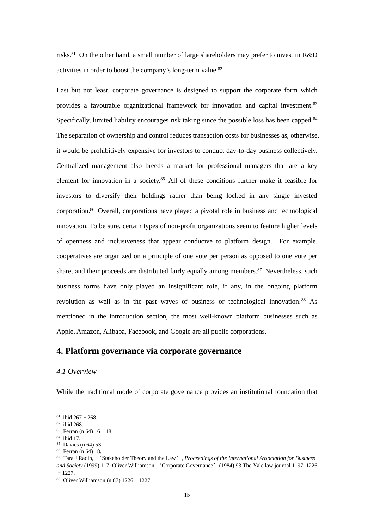risks.<sup>81</sup> On the other hand, a small number of large shareholders may prefer to invest in R&D activities in order to boost the company's long-term value.<sup>82</sup>

Last but not least, corporate governance is designed to support the corporate form which provides a favourable organizational framework for innovation and capital investment.<sup>83</sup> Specifically, limited liability encourages risk taking since the possible loss has been capped.<sup>84</sup> The separation of ownership and control reduces transaction costs for businesses as, otherwise, it would be prohibitively expensive for investors to conduct day-to-day business collectively. Centralized management also breeds a market for professional managers that are a key element for innovation in a society.<sup>85</sup> All of these conditions further make it feasible for investors to diversify their holdings rather than being locked in any single invested corporation.<sup>86</sup> Overall, corporations have played a pivotal role in business and technological innovation. To be sure, certain types of non-profit organizations seem to feature higher levels of openness and inclusiveness that appear conducive to platform design. For example, cooperatives are organized on a principle of one vote per person as opposed to one vote per share, and their proceeds are distributed fairly equally among members.<sup>87</sup> Nevertheless, such business forms have only played an insignificant role, if any, in the ongoing platform revolution as well as in the past waves of business or technological innovation. <sup>88</sup> As mentioned in the introduction section, the most well-known platform businesses such as Apple, Amazon, Alibaba, Facebook, and Google are all public corporations.

# **4. Platform governance via corporate governance**

#### *4.1 Overview*

While the traditional mode of corporate governance provides an institutional foundation that

<sup>86</sup> Ferran (n 64) 18.

 $81$  ibid 267 - 268.

<sup>82</sup> ibid 268.

<sup>83</sup> Ferran (n 64) 16–18.

<sup>84</sup> ibid 17.

<sup>85</sup> Davies (n 64) 53.

<sup>87</sup> Tara J Radin, 'Stakeholder Theory and the Law', *Proceedings of the International Association for Business and Society* (1999) 117; Oliver Williamson, 'Corporate Governance'(1984) 93 The Yale law journal 1197, 1226 –1227.

<sup>88</sup> Oliver Williamson (n 87) 1226–1227.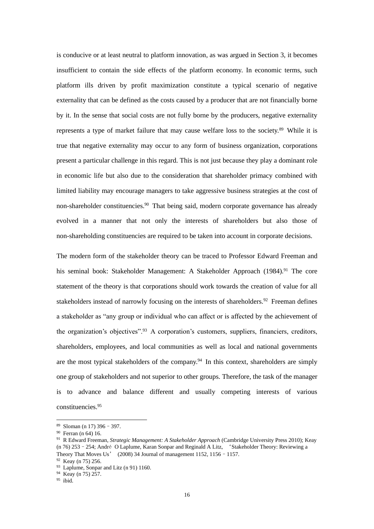is conducive or at least neutral to platform innovation, as was argued in Section 3, it becomes insufficient to contain the side effects of the platform economy. In economic terms, such platform ills driven by profit maximization constitute a typical scenario of negative externality that can be defined as the costs caused by a producer that are not financially borne by it. In the sense that social costs are not fully borne by the producers, negative externality represents a type of market failure that may cause welfare loss to the society.<sup>89</sup> While it is true that negative externality may occur to any form of business organization, corporations present a particular challenge in this regard. This is not just because they play a dominant role in economic life but also due to the consideration that shareholder primacy combined with limited liability may encourage managers to take aggressive business strategies at the cost of non-shareholder constituencies.<sup>90</sup> That being said, modern corporate governance has already evolved in a manner that not only the interests of shareholders but also those of non-shareholding constituencies are required to be taken into account in corporate decisions.

The modern form of the stakeholder theory can be traced to Professor Edward Freeman and his seminal book: Stakeholder Management: A Stakeholder Approach (1984). <sup>91</sup> The core statement of the theory is that corporations should work towards the creation of value for all stakeholders instead of narrowly focusing on the interests of shareholders.<sup>92</sup> Freeman defines a stakeholder as "any group or individual who can affect or is affected by the achievement of the organization's objectives".<sup>93</sup> A corporation's customers, suppliers, financiers, creditors, shareholders, employees, and local communities as well as local and national governments are the most typical stakeholders of the company.<sup>94</sup> In this context, shareholders are simply one group of stakeholders and not superior to other groups. Therefore, the task of the manager is to advance and balance different and usually competing interests of various constituencies. 95

<sup>89</sup> Sloman (n 17) 396–397.

<sup>90</sup> Ferran (n 64) 16.

<sup>91</sup> R Edward Freeman, *Strategic Management: A Stakeholder Approach* (Cambridge University Press 2010); Keay (n 76) 253–254; André O Laplume, Karan Sonpar and Reginald A Litz, 'Stakeholder Theory: Reviewing a Theory That Moves Us' (2008) 34 Journal of management 1152, 1156–1157.

<sup>92</sup> Keay (n 75) 256.

<sup>&</sup>lt;sup>93</sup> Laplume, Sonpar and Litz (n 91) 1160.

<sup>94</sup> Keay (n 75) 257.

 $^{95}$ ibid.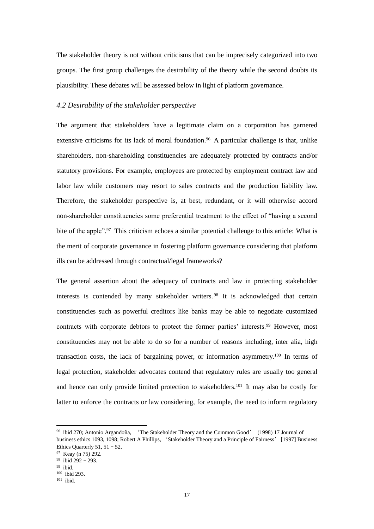The stakeholder theory is not without criticisms that can be imprecisely categorized into two groups. The first group challenges the desirability of the theory while the second doubts its plausibility. These debates will be assessed below in light of platform governance.

## *4.2 Desirability of the stakeholder perspective*

The argument that stakeholders have a legitimate claim on a corporation has garnered extensive criticisms for its lack of moral foundation.<sup>96</sup> A particular challenge is that, unlike shareholders, non-shareholding constituencies are adequately protected by contracts and/or statutory provisions. For example, employees are protected by employment contract law and labor law while customers may resort to sales contracts and the production liability law. Therefore, the stakeholder perspective is, at best, redundant, or it will otherwise accord non-shareholder constituencies some preferential treatment to the effect of "having a second bite of the apple".<sup>97</sup> This criticism echoes a similar potential challenge to this article: What is the merit of corporate governance in fostering platform governance considering that platform ills can be addressed through contractual/legal frameworks?

The general assertion about the adequacy of contracts and law in protecting stakeholder interests is contended by many stakeholder writers. <sup>98</sup> It is acknowledged that certain constituencies such as powerful creditors like banks may be able to negotiate customized contracts with corporate debtors to protect the former parties' interests.<sup>99</sup> However, most constituencies may not be able to do so for a number of reasons including, inter alia, high transaction costs, the lack of bargaining power, or information asymmetry.<sup>100</sup> In terms of legal protection, stakeholder advocates contend that regulatory rules are usually too general and hence can only provide limited protection to stakeholders.<sup>101</sup> It may also be costly for latter to enforce the contracts or law considering, for example, the need to inform regulatory

<sup>96</sup> ibid 270; Antonio Argandoña, 'The Stakeholder Theory and the Common Good' (1998) 17 Journal of business ethics 1093, 1098; Robert A Phillips, 'Stakeholder Theory and a Principle of Fairness' [1997] Business Ethics Quarterly 51, 51 - 52.

<sup>97</sup> Keay (n 75) 292.

 $98$  ibid 292 – 293.

<sup>99</sup> ibid.

<sup>100</sup> ibid 293.

 $^{101}\,$ ibid.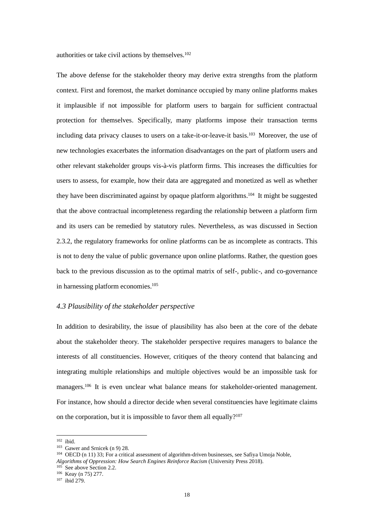authorities or take civil actions by themselves.<sup>102</sup>

The above defense for the stakeholder theory may derive extra strengths from the platform context. First and foremost, the market dominance occupied by many online platforms makes it implausible if not impossible for platform users to bargain for sufficient contractual protection for themselves. Specifically, many platforms impose their transaction terms including data privacy clauses to users on a take-it-or-leave-it basis.<sup>103</sup> Moreover, the use of new technologies exacerbates the information disadvantages on the part of platform users and other relevant stakeholder groups vis-à-vis platform firms. This increases the difficulties for users to assess, for example, how their data are aggregated and monetized as well as whether they have been discriminated against by opaque platform algorithms.<sup>104</sup> It might be suggested that the above contractual incompleteness regarding the relationship between a platform firm and its users can be remedied by statutory rules. Nevertheless, as was discussed in Section 2.3.2, the regulatory frameworks for online platforms can be as incomplete as contracts. This is not to deny the value of public governance upon online platforms. Rather, the question goes back to the previous discussion as to the optimal matrix of self-, public-, and co-governance in harnessing platform economies. 105

## *4.3 Plausibility of the stakeholder perspective*

In addition to desirability, the issue of plausibility has also been at the core of the debate about the stakeholder theory. The stakeholder perspective requires managers to balance the interests of all constituencies. However, critiques of the theory contend that balancing and integrating multiple relationships and multiple objectives would be an impossible task for managers.<sup>106</sup> It is even unclear what balance means for stakeholder-oriented management. For instance, how should a director decide when several constituencies have legitimate claims on the corporation, but it is impossible to favor them all equally?<sup>107</sup>

<sup>102</sup> ibid.

<sup>103</sup> Gawer and Srnicek (n 9) 28.

<sup>104</sup> OECD (n 11) 33; For a critical assessment of algorithm-driven businesses, see Safiya Umoja Noble, *Algorithms of Oppression: How Search Engines Reinforce Racism* (University Press 2018).

<sup>105</sup> See above Section 2.2.

<sup>106</sup> Keay (n 75) 277.

<sup>107</sup> ibid 279.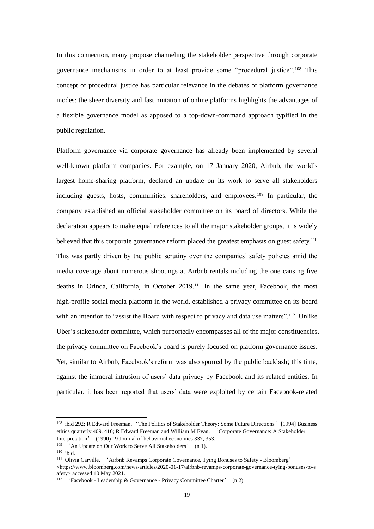In this connection, many propose channeling the stakeholder perspective through corporate governance mechanisms in order to at least provide some "procedural justice".<sup>108</sup> This concept of procedural justice has particular relevance in the debates of platform governance modes: the sheer diversity and fast mutation of online platforms highlights the advantages of a flexible governance model as apposed to a top-down-command approach typified in the public regulation.

Platform governance via corporate governance has already been implemented by several well-known platform companies. For example, on 17 January 2020, Airbnb, the world's largest home-sharing platform, declared an update on its work to serve all stakeholders including guests, hosts, communities, shareholders, and employees.<sup>109</sup> In particular, the company established an official stakeholder committee on its board of directors. While the declaration appears to make equal references to all the major stakeholder groups, it is widely believed that this corporate governance reform placed the greatest emphasis on guest safety.<sup>110</sup> This was partly driven by the public scrutiny over the companies' safety policies amid the media coverage about numerous shootings at Airbnb rentals including the one causing five deaths in Orinda, California, in October 2019.<sup>111</sup> In the same year, Facebook, the most high-profile social media platform in the world, established a privacy committee on its board with an intention to "assist the Board with respect to privacy and data use matters".<sup>112</sup> Unlike Uber's stakeholder committee, which purportedly encompasses all of the major constituencies, the privacy committee on Facebook's board is purely focused on platform governance issues. Yet, similar to Airbnb, Facebook's reform was also spurred by the public backlash; this time, against the immoral intrusion of users' data privacy by Facebook and its related entities. In particular, it has been reported that users' data were exploited by certain Facebook-related

<sup>&</sup>lt;sup>108</sup> ibid 292; R Edward Freeman, 'The Politics of Stakeholder Theory: Some Future Directions' [1994] Business ethics quarterly 409, 416; R Edward Freeman and William M Evan, 'Corporate Governance: A Stakeholder Interpretation' (1990) 19 Journal of behavioral economics 337, 353.

<sup>&</sup>lt;sup>109</sup> <sup>4</sup> An Update on Our Work to Serve All Stakeholders' (n 1).

<sup>110</sup> ibid.

<sup>&</sup>lt;sup>111</sup> Olivia Carville, 'Airbnb Revamps Corporate Governance, Tying Bonuses to Safety - Bloomberg' <https://www.bloomberg.com/news/articles/2020-01-17/airbnb-revamps-corporate-governance-tying-bonuses-to-s afety> accessed 10 May 2021.

<sup>112</sup> 'Facebook - Leadership & Governance - Privacy Committee Charter' (n 2).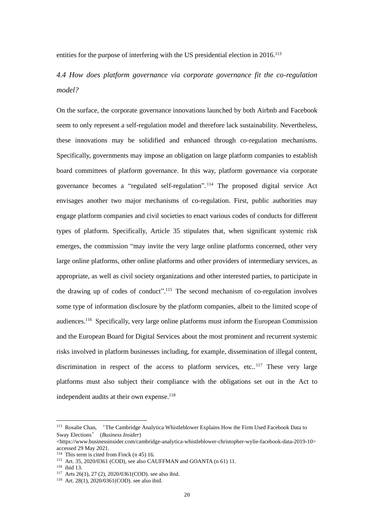entities for the purpose of interfering with the US presidential election in 2016.<sup>113</sup>

# *4.4 How does platform governance via corporate governance fit the co-regulation model?*

On the surface, the corporate governance innovations launched by both Airbnb and Facebook seem to only represent a self-regulation model and therefore lack sustainability. Nevertheless, these innovations may be solidified and enhanced through co-regulation mechanisms. Specifically, governments may impose an obligation on large platform companies to establish board committees of platform governance. In this way, platform governance via corporate governance becomes a "regulated self-regulation". <sup>114</sup> The proposed digital service Act envisages another two major mechanisms of co-regulation. First, public authorities may engage platform companies and civil societies to enact various codes of conducts for different types of platform. Specifically, Article 35 stipulates that, when significant systemic risk emerges, the commission "may invite the very large online platforms concerned, other very large online platforms, other online platforms and other providers of intermediary services, as appropriate, as well as civil society organizations and other interested parties, to participate in the drawing up of codes of conduct".<sup>115</sup> The second mechanism of co-regulation involves some type of information disclosure by the platform companies, albeit to the limited scope of audiences. <sup>116</sup> Specifically, very large online platforms must inform the European Commission and the European Board for Digital Services about the most prominent and recurrent systemic risks involved in platform businesses including, for example, dissemination of illegal content, discrimination in respect of the access to platform services, etc..<sup>117</sup> These very large platforms must also subject their compliance with the obligations set out in the Act to independent audits at their own expense.<sup>118</sup>

<sup>113</sup> Rosalie Chan, 'The Cambridge Analytica Whistleblower Explains How the Firm Used Facebook Data to Sway Elections' (*Business Insider*)

<sup>&</sup>lt;https://www.businessinsider.com/cambridge-analytica-whistleblower-christopher-wylie-facebook-data-2019-10> accessed 29 May 2021.

<sup>&</sup>lt;sup>114</sup> This term is cited from Finck  $(n 45)$  16.

<sup>115</sup> Art. 35, 2020/0361 (COD), see also CAUFFMAN and GOANTA (n 61) 11.

<sup>116</sup> ibid 13.

<sup>117</sup> Arts 26(1), 27 (2), 2020/0361(COD). see also ibid.

<sup>118</sup> Art. 28(1), 2020/0361(COD). see also ibid.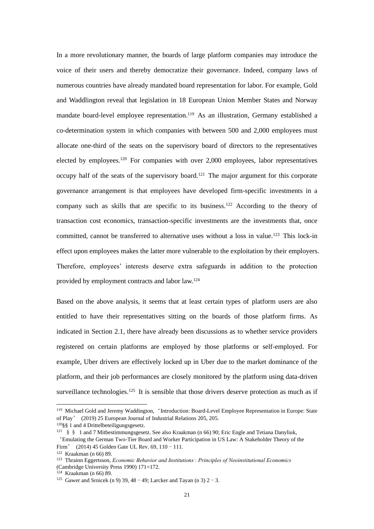In a more revolutionary manner, the boards of large platform companies may introduce the voice of their users and thereby democratize their governance. Indeed, company laws of numerous countries have already mandated board representation for labor. For example, Gold and Waddlington reveal that legislation in 18 European Union Member States and Norway mandate board-level employee representation.<sup>119</sup> As an illustration, Germany established a co-determination system in which companies with between 500 and 2,000 employees must allocate one-third of the seats on the supervisory board of directors to the representatives elected by employees.<sup>120</sup> For companies with over 2,000 employees, labor representatives occupy half of the seats of the supervisory board.<sup>121</sup> The major argument for this corporate governance arrangement is that employees have developed firm-specific investments in a company such as skills that are specific to its business.<sup>122</sup> According to the theory of transaction cost economics, transaction-specific investments are the investments that, once committed, cannot be transferred to alternative uses without a loss in value.<sup>123</sup> This lock-in effect upon employees makes the latter more vulnerable to the exploitation by their employers. Therefore, employees' interests deserve extra safeguards in addition to the protection provided by employment contracts and labor law.<sup>124</sup>

Based on the above analysis, it seems that at least certain types of platform users are also entitled to have their representatives sitting on the boards of those platform firms. As indicated in Section 2.1, there have already been discussions as to whether service providers registered on certain platforms are employed by those platforms or self-employed. For example, Uber drivers are effectively locked up in Uber due to the market dominance of the platform, and their job performances are closely monitored by the platform using data-driven surveillance technologies.<sup>125</sup> It is sensible that those drivers deserve protection as much as if

<sup>119</sup> Michael Gold and Jeremy Waddington, 'Introduction: Board-Level Employee Representation in Europe: State of Play' (2019) 25 European Journal of Industrial Relations 205, 205.

<sup>120</sup>§§ 1 and 4 Drittelbeteiligungsgesetz.

<sup>&</sup>lt;sup>121</sup> § § 1 and 7 Mitbestimmungsgesetz. See also Kraakman (n 66) 90; Eric Engle and Tetiana Danyliuk,

<sup>&#</sup>x27;Emulating the German Two-Tier Board and Worker Participation in US Law: A Stakeholder Theory of the Firm' (2014) 45 Golden Gate UL Rev. 69, 110 - 111.

<sup>122</sup> Kraakman (n 66) 89.

<sup>123</sup> Thrainn Eggertsson, *Economic Behavior and Institutions : Principles of Neoinstitutional Economics* (Cambridge University Press 1990) 171=172.

<sup>124</sup> Kraakman (n 66) 89.

<sup>&</sup>lt;sup>125</sup> Gawer and Srnicek (n 9) 39, 48 - 49; Larcker and Tayan (n 3) 2 - 3.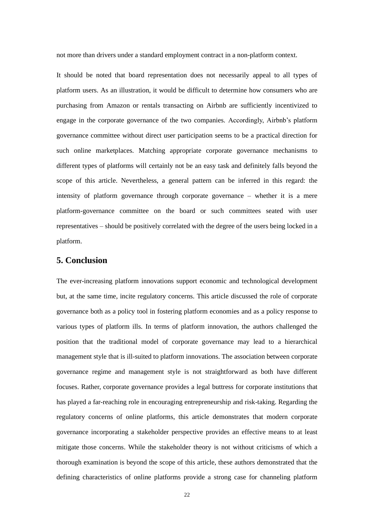not more than drivers under a standard employment contract in a non-platform context.

It should be noted that board representation does not necessarily appeal to all types of platform users. As an illustration, it would be difficult to determine how consumers who are purchasing from Amazon or rentals transacting on Airbnb are sufficiently incentivized to engage in the corporate governance of the two companies. Accordingly, Airbnb's platform governance committee without direct user participation seems to be a practical direction for such online marketplaces. Matching appropriate corporate governance mechanisms to different types of platforms will certainly not be an easy task and definitely falls beyond the scope of this article. Nevertheless, a general pattern can be inferred in this regard: the intensity of platform governance through corporate governance – whether it is a mere platform-governance committee on the board or such committees seated with user representatives – should be positively correlated with the degree of the users being locked in a platform.

# **5. Conclusion**

The ever-increasing platform innovations support economic and technological development but, at the same time, incite regulatory concerns. This article discussed the role of corporate governance both as a policy tool in fostering platform economies and as a policy response to various types of platform ills. In terms of platform innovation, the authors challenged the position that the traditional model of corporate governance may lead to a hierarchical management style that is ill-suited to platform innovations. The association between corporate governance regime and management style is not straightforward as both have different focuses. Rather, corporate governance provides a legal buttress for corporate institutions that has played a far-reaching role in encouraging entrepreneurship and risk-taking. Regarding the regulatory concerns of online platforms, this article demonstrates that modern corporate governance incorporating a stakeholder perspective provides an effective means to at least mitigate those concerns. While the stakeholder theory is not without criticisms of which a thorough examination is beyond the scope of this article, these authors demonstrated that the defining characteristics of online platforms provide a strong case for channeling platform